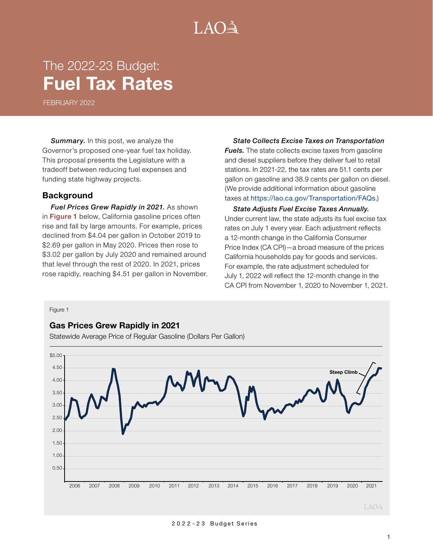# $LAO<sup>3</sup>$

## The 2022-23 Budget: **Fuel Tax Rates**

FEBRUARY 2022

**Summary.** In this post, we analyze the Governor's proposed one-year fuel tax holiday. This proposal presents the Legislature with a tradeoff between reducing fuel expenses and funding state highway projects.

## **Background**

*Fuel Prices Grew Rapidly in 2021.* As shown in Figure 1 below, California gasoline prices often rise and fall by large amounts. For example, prices declined from \$4.04 per gallon in October 2019 to \$2.69 per gallon in May 2020. Prices then rose to \$3.02 per gallon by July 2020 and remained around that level through the rest of 2020. In 2021, prices rose rapidly, reaching \$4.51 per gallon in November.

*State Collects Excise Taxes on Transportation Fuels.* The state collects excise taxes from gasoline and diesel suppliers before they deliver fuel to retail stations. In 2021-22, the tax rates are 51.1 cents per gallon on gasoline and 38.9 cents per gallon on diesel. (We provide additional information about gasoline taxes at <https://lao.ca.gov/Transportation/FAQs>.)

*State Adjusts Fuel Excise Taxes Annually.* Under current law, the state adjusts its fuel excise tax rates on July 1 every year. Each adjustment reflects a 12-month change in the California Consumer Price Index (CA CPI)—a broad measure of the prices California households pay for goods and services. For example, the rate adjustment scheduled for July 1, 2022 will reflect the 12-month change in the CA CPI from November 1, 2020 to November 1, 2021.

Figure 1

#### **Gas Prices Grew Rapidly in 2021**

Statewide Average Price of Regular Gasoline (Dollars Per Gallon)

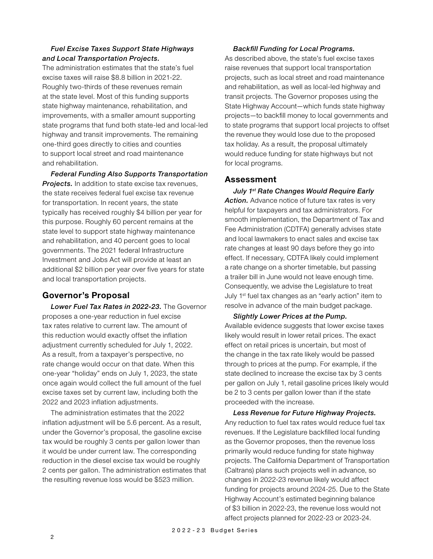## *Fuel Excise Taxes Support State Highways and Local Transportation Projects.*

The administration estimates that the state's fuel excise taxes will raise \$8.8 billion in 2021-22. Roughly two-thirds of these revenues remain at the state level. Most of this funding supports state highway maintenance, rehabilitation, and improvements, with a smaller amount supporting state programs that fund both state-led and local-led highway and transit improvements. The remaining one-third goes directly to cities and counties to support local street and road maintenance and rehabilitation.

*Federal Funding Also Supports Transportation Projects.* In addition to state excise tax revenues, the state receives federal fuel excise tax revenue for transportation. In recent years, the state typically has received roughly \$4 billion per year for this purpose. Roughly 60 percent remains at the state level to support state highway maintenance and rehabilitation, and 40 percent goes to local governments. The 2021 federal Infrastructure Investment and Jobs Act will provide at least an additional \$2 billion per year over five years for state and local transportation projects.

## **Governor's Proposal**

*Lower Fuel Tax Rates in 2022-23.* The Governor proposes a one-year reduction in fuel excise tax rates relative to current law. The amount of this reduction would exactly offset the inflation adjustment currently scheduled for July 1, 2022. As a result, from a taxpayer's perspective, no rate change would occur on that date. When this one-year "holiday" ends on July 1, 2023, the state once again would collect the full amount of the fuel excise taxes set by current law, including both the 2022 and 2023 inflation adjustments.

The administration estimates that the 2022 inflation adjustment will be 5.6 percent. As a result, under the Governor's proposal, the gasoline excise tax would be roughly 3 cents per gallon lower than it would be under current law. The corresponding reduction in the diesel excise tax would be roughly 2 cents per gallon. The administration estimates that the resulting revenue loss would be \$523 million.

#### *Backfill Funding for Local Programs.*

As described above, the state's fuel excise taxes raise revenues that support local transportation projects, such as local street and road maintenance and rehabilitation, as well as local-led highway and transit projects. The Governor proposes using the State Highway Account—which funds state highway projects—to backfill money to local governments and to state programs that support local projects to offset the revenue they would lose due to the proposed tax holiday. As a result, the proposal ultimately would reduce funding for state highways but not for local programs.

## **Assessment**

*July 1st Rate Changes Would Require Early*  **Action.** Advance notice of future tax rates is very helpful for taxpayers and tax administrators. For smooth implementation, the Department of Tax and Fee Administration (CDTFA) generally advises state and local lawmakers to enact sales and excise tax rate changes at least 90 days before they go into effect. If necessary, CDTFA likely could implement a rate change on a shorter timetable, but passing a trailer bill in June would not leave enough time. Consequently, we advise the Legislature to treat July 1st fuel tax changes as an "early action" item to resolve in advance of the main budget package.

*Slightly Lower Prices at the Pump.* Available evidence suggests that lower excise taxes likely would result in lower retail prices. The exact effect on retail prices is uncertain, but most of the change in the tax rate likely would be passed through to prices at the pump. For example, if the state declined to increase the excise tax by 3 cents per gallon on July 1, retail gasoline prices likely would be 2 to 3 cents per gallon lower than if the state proceeded with the increase.

*Less Revenue for Future Highway Projects.* Any reduction to fuel tax rates would reduce fuel tax revenues. If the Legislature backfilled local funding as the Governor proposes, then the revenue loss primarily would reduce funding for state highway projects. The California Department of Transportation (Caltrans) plans such projects well in advance, so changes in 2022-23 revenue likely would affect funding for projects around 2024-25. Due to the State Highway Account's estimated beginning balance of \$3 billion in 2022-23, the revenue loss would not affect projects planned for 2022-23 or 2023-24.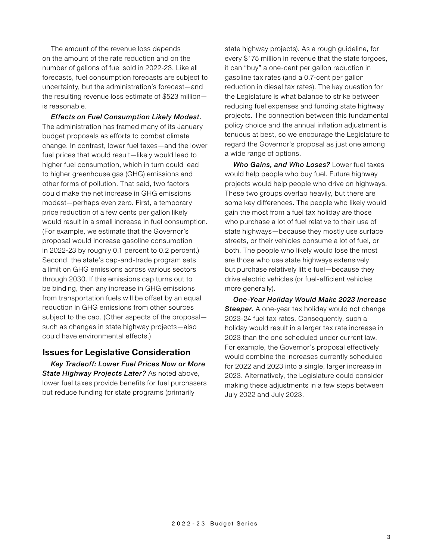The amount of the revenue loss depends on the amount of the rate reduction and on the number of gallons of fuel sold in 2022-23. Like all forecasts, fuel consumption forecasts are subject to uncertainty, but the administration's forecast—and the resulting revenue loss estimate of \$523 million is reasonable.

*Effects on Fuel Consumption Likely Modest.* The administration has framed many of its January budget proposals as efforts to combat climate change. In contrast, lower fuel taxes—and the lower fuel prices that would result—likely would lead to higher fuel consumption, which in turn could lead to higher greenhouse gas (GHG) emissions and other forms of pollution. That said, two factors could make the net increase in GHG emissions modest—perhaps even zero. First, a temporary price reduction of a few cents per gallon likely would result in a small increase in fuel consumption. (For example, we estimate that the Governor's proposal would increase gasoline consumption in 2022-23 by roughly 0.1 percent to 0.2 percent.) Second, the state's cap-and-trade program sets a limit on GHG emissions across various sectors through 2030. If this emissions cap turns out to be binding, then any increase in GHG emissions from transportation fuels will be offset by an equal reduction in GHG emissions from other sources subject to the cap. (Other aspects of the proposal such as changes in state highway projects—also could have environmental effects.)

## **Issues for Legislative Consideration**

*Key Tradeoff: Lower Fuel Prices Now or More State Highway Projects Later?* As noted above, lower fuel taxes provide benefits for fuel purchasers but reduce funding for state programs (primarily

state highway projects). As a rough guideline, for every \$175 million in revenue that the state forgoes, it can "buy" a one-cent per gallon reduction in gasoline tax rates (and a 0.7-cent per gallon reduction in diesel tax rates). The key question for the Legislature is what balance to strike between reducing fuel expenses and funding state highway projects. The connection between this fundamental policy choice and the annual inflation adjustment is tenuous at best, so we encourage the Legislature to regard the Governor's proposal as just one among a wide range of options.

*Who Gains, and Who Loses?* Lower fuel taxes would help people who buy fuel. Future highway projects would help people who drive on highways. These two groups overlap heavily, but there are some key differences. The people who likely would gain the most from a fuel tax holiday are those who purchase a lot of fuel relative to their use of state highways—because they mostly use surface streets, or their vehicles consume a lot of fuel, or both. The people who likely would lose the most are those who use state highways extensively but purchase relatively little fuel—because they drive electric vehicles (or fuel-efficient vehicles more generally).

*One-Year Holiday Would Make 2023 Increase*  **Steeper.** A one-year tax holiday would not change 2023-24 fuel tax rates. Consequently, such a holiday would result in a larger tax rate increase in 2023 than the one scheduled under current law. For example, the Governor's proposal effectively would combine the increases currently scheduled for 2022 and 2023 into a single, larger increase in 2023. Alternatively, the Legislature could consider making these adjustments in a few steps between July 2022 and July 2023.